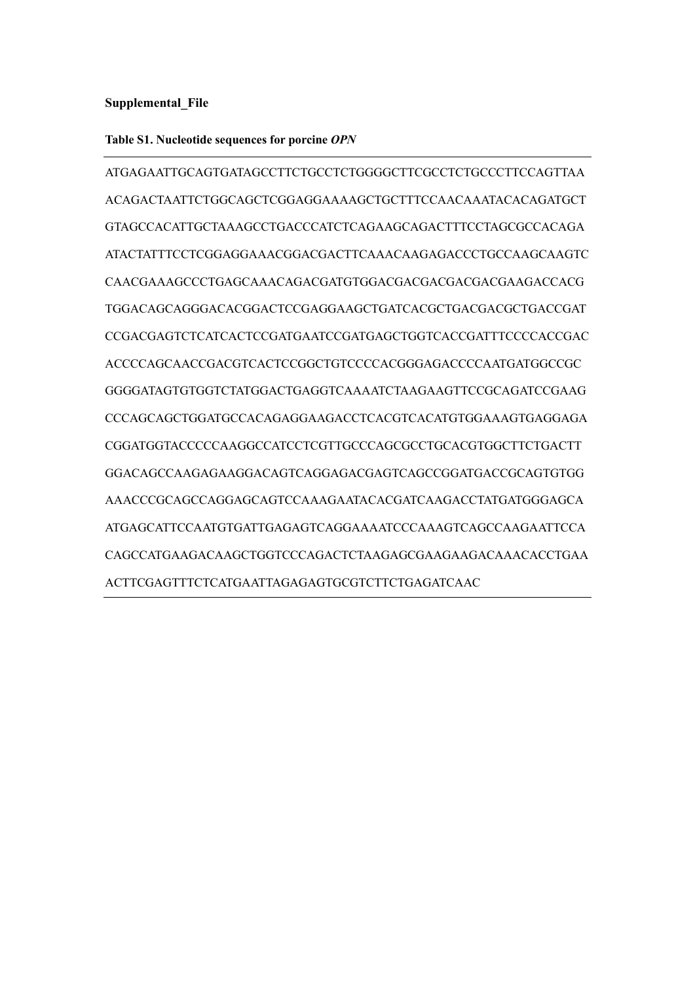## **Supplemental\_File**

## **Table S1**. **Nucleotide sequences for porcine** *OPN*

ATGAGAATTGCAGTGATAGCCTTCTGCCTCTGGGGCTTCGCCTCTGCCCTTCCAGTTAA ACAGACTAATTCTGGCAGCTCGGAGGAAAAGCTGCTTTCCAACAAATACACAGATGCT GTAGCCACATTGCTAAAGCCTGACCCATCTCAGAAGCAGACTTTCCTAGCGCCACAGA ATACTATTTCCTCGGAGGAAACGGACGACTTCAAACAAGAGACCCTGCCAAGCAAGTC CAACGAAAGCCCTGAGCAAACAGACGATGTGGACGACGACGACGACGAAGACCACG TGGACAGCAGGGACACGGACTCCGAGGAAGCTGATCACGCTGACGACGCTGACCGAT CCGACGAGTCTCATCACTCCGATGAATCCGATGAGCTGGTCACCGATTTCCCCACCGAC ACCCCAGCAACCGACGTCACTCCGGCTGTCCCCACGGGAGACCCCAATGATGGCCGC GGGGATAGTGTGGTCTATGGACTGAGGTCAAAATCTAAGAAGTTCCGCAGATCCGAAG CCCAGCAGCTGGATGCCACAGAGGAAGACCTCACGTCACATGTGGAAAGTGAGGAGA CGGATGGTACCCCCAAGGCCATCCTCGTTGCCCAGCGCCTGCACGTGGCTTCTGACTT GGACAGCCAAGAGAAGGACAGTCAGGAGACGAGTCAGCCGGATGACCGCAGTGTGG AAACCCGCAGCCAGGAGCAGTCCAAAGAATACACGATCAAGACCTATGATGGGAGCA ATGAGCATTCCAATGTGATTGAGAGTCAGGAAAATCCCAAAGTCAGCCAAGAATTCCA CAGCCATGAAGACAAGCTGGTCCCAGACTCTAAGAGCGAAGAAGACAAACACCTGAA ACTTCGAGTTTCTCATGAATTAGAGAGTGCGTCTTCTGAGATCAAC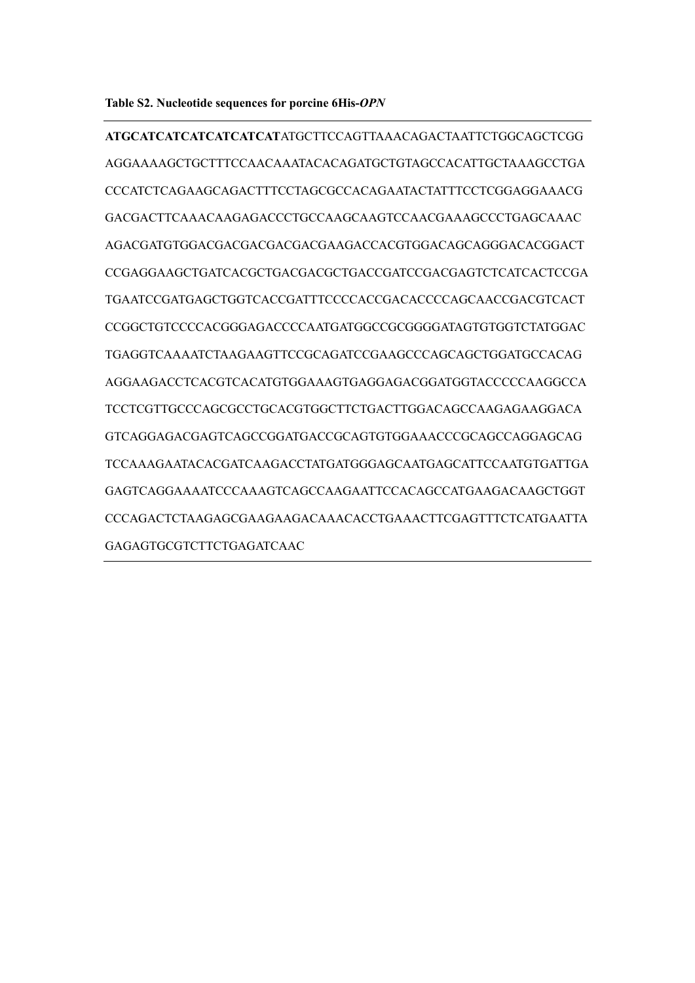**ATGCATCATCATCATCATCAT**ATGCTTCCAGTTAAACAGACTAATTCTGGCAGCTCGG AGGAAAAGCTGCTTTCCAACAAATACACAGATGCTGTAGCCACATTGCTAAAGCCTGA CCCATCTCAGAAGCAGACTTTCCTAGCGCCACAGAATACTATTTCCTCGGAGGAAACG GACGACTTCAAACAAGAGACCCTGCCAAGCAAGTCCAACGAAAGCCCTGAGCAAAC AGACGATGTGGACGACGACGACGACGAAGACCACGTGGACAGCAGGGACACGGACT CCGAGGAAGCTGATCACGCTGACGACGCTGACCGATCCGACGAGTCTCATCACTCCGA TGAATCCGATGAGCTGGTCACCGATTTCCCCACCGACACCCCAGCAACCGACGTCACT CCGGCTGTCCCCACGGGAGACCCCAATGATGGCCGCGGGGATAGTGTGGTCTATGGAC TGAGGTCAAAATCTAAGAAGTTCCGCAGATCCGAAGCCCAGCAGCTGGATGCCACAG AGGAAGACCTCACGTCACATGTGGAAAGTGAGGAGACGGATGGTACCCCCAAGGCCA TCCTCGTTGCCCAGCGCCTGCACGTGGCTTCTGACTTGGACAGCCAAGAGAAGGACA GTCAGGAGACGAGTCAGCCGGATGACCGCAGTGTGGAAACCCGCAGCCAGGAGCAG TCCAAAGAATACACGATCAAGACCTATGATGGGAGCAATGAGCATTCCAATGTGATTGA GAGTCAGGAAAATCCCAAAGTCAGCCAAGAATTCCACAGCCATGAAGACAAGCTGGT CCCAGACTCTAAGAGCGAAGAAGACAAACACCTGAAACTTCGAGTTTCTCATGAATTA GAGAGTGCGTCTTCTGAGATCAAC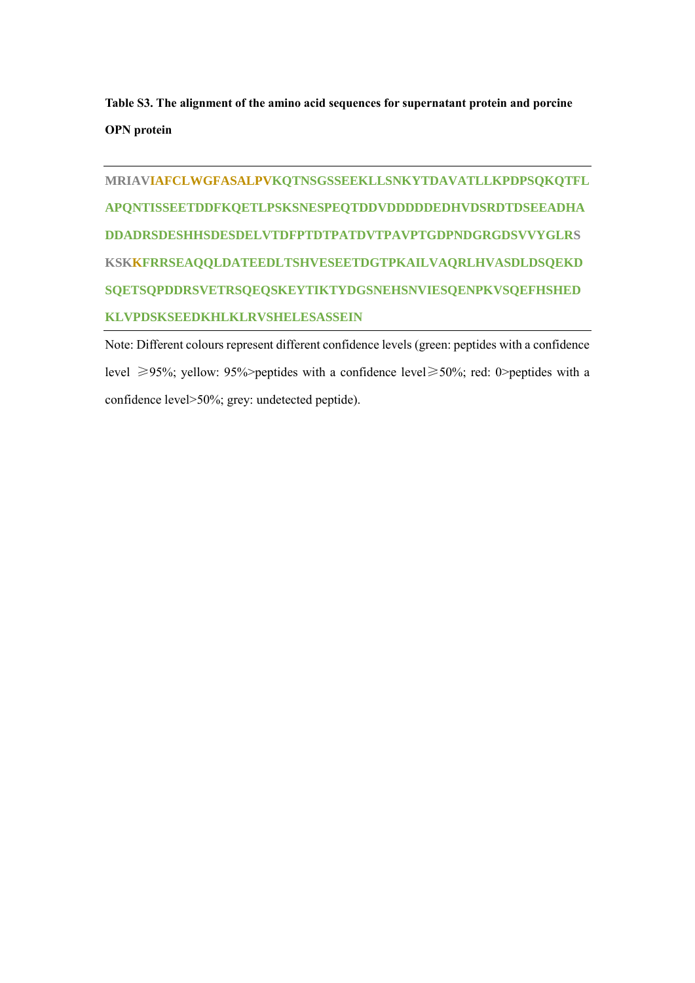**Table S3**. **The alignment of the amino acid sequences for supernatant protein and porcine OPN protein**

**MRIAVIAFCLWGFASALPVKQTNSGSSEEKLLSNKYTDAVATLLKPDPSQKQTFL APQNTISSEETDDFKQETLPSKSNESPEQTDDVDDDDDEDHVDSRDTDSEEADHA DDADRSDESHHSDESDELVTDFPTDTPATDVTPAVPTGDPNDGRGDSVVYGLRS KSKKFRRSEAQQLDATEEDLTSHVESEETDGTPKAILVAQRLHVASDLDSQEKD SQETSQPDDRSVETRSQEQSKEYTIKTYDGSNEHSNVIESQENPKVSQEFHSHED KLVPDSKSEEDKHLKLRVSHELESASSEIN**

Note: Different colours represent different confidence levels (green: peptides with a confidence level ≥95%; yellow: 95%>peptides with a confidence level≥50%; red: 0>peptides with a confidence level>50%; grey: undetected peptide).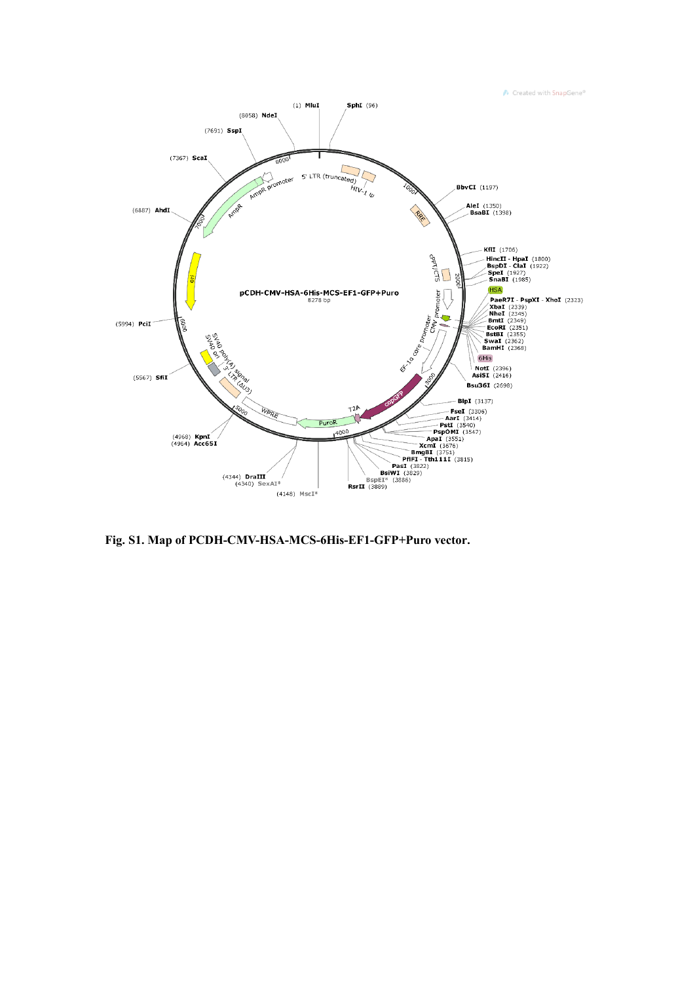

**Fig**. **S1**. **Map of PCDH-CMV-HSA-MCS-6His-EF1-GFP+Puro vector**.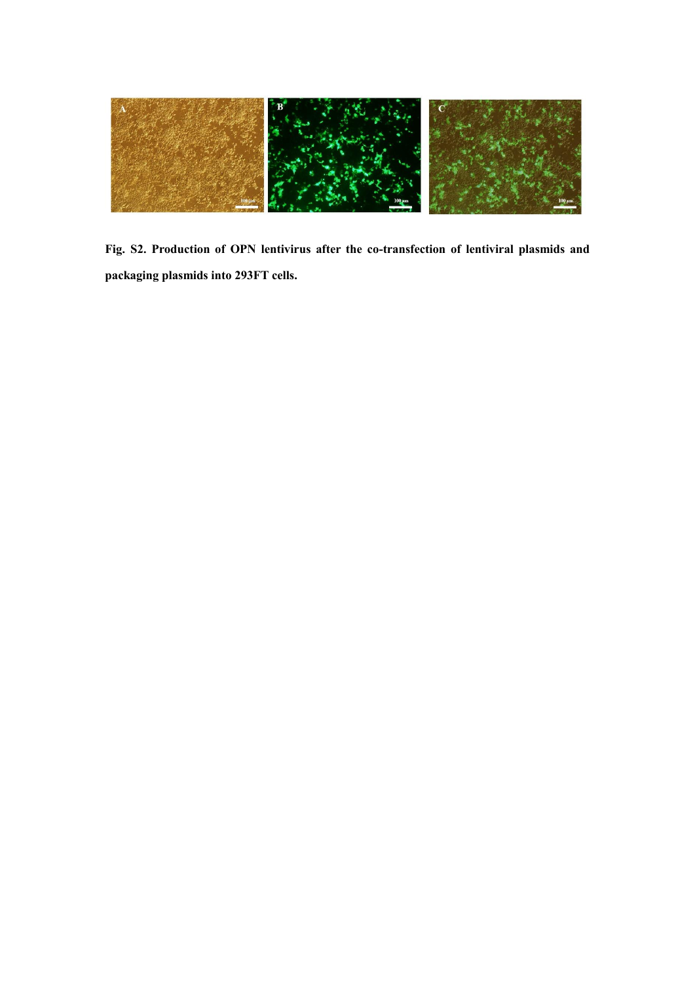

**Fig**. **S2**. **Production of OPN lentivirus after the co-transfection of lentiviral plasmids and packaging plasmids into 293FT cells.**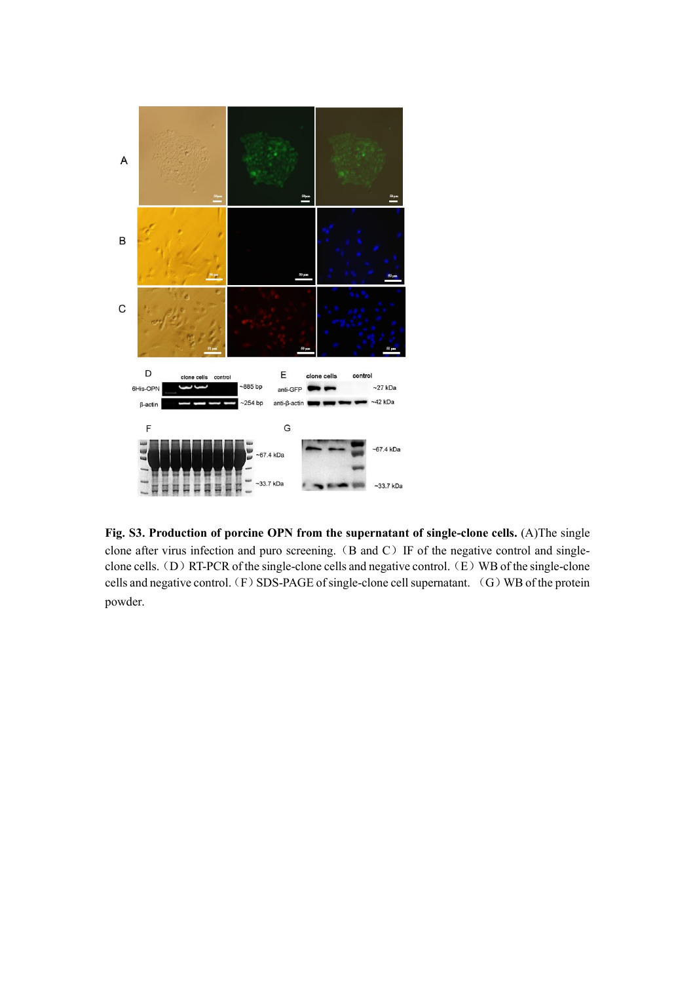

**Fig**. **S3**. **Production of porcine OPN from the supernatant of single-clone cells.** (A)The single clone after virus infection and puro screening. (B and C) IF of the negative control and singleclone cells. (D) RT-PCR of the single-clone cells and negative control. (E) WB of the single-clone cells and negative control. (F) SDS-PAGE of single-clone cell supernatant. (G) WB of the protein powder.